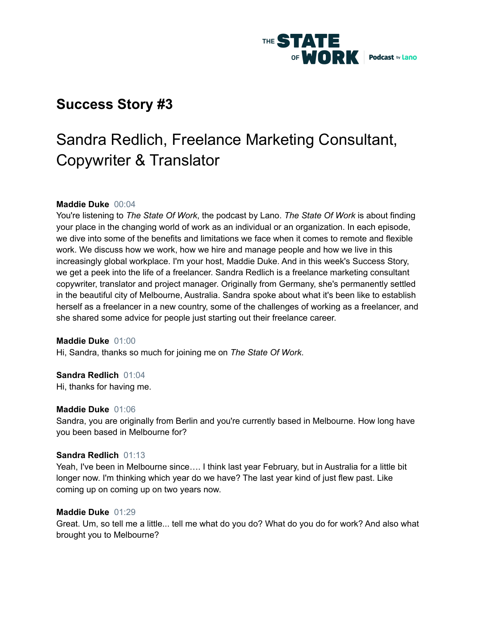

## **Success Story #3**

# Sandra Redlich, Freelance Marketing Consultant, Copywriter & Translator

## **Maddie Duke** 00:04

You're listening to *The State Of Work*, the podcast by Lano. *The State Of Work* is about finding your place in the changing world of work as an individual or an organization. In each episode, we dive into some of the benefits and limitations we face when it comes to remote and flexible work. We discuss how we work, how we hire and manage people and how we live in this increasingly global workplace. I'm your host, Maddie Duke. And in this week's Success Story, we get a peek into the life of a freelancer. Sandra Redlich is a freelance marketing consultant copywriter, translator and project manager. Originally from Germany, she's permanently settled in the beautiful city of Melbourne, Australia. Sandra spoke about what it's been like to establish herself as a freelancer in a new country, some of the challenges of working as a freelancer, and she shared some advice for people just starting out their freelance career.

#### **Maddie Duke** 01:00

Hi, Sandra, thanks so much for joining me on *The State Of Work*.

#### **Sandra Redlich** 01:04

Hi, thanks for having me.

#### **Maddie Duke** 01:06

Sandra, you are originally from Berlin and you're currently based in Melbourne. How long have you been based in Melbourne for?

#### **Sandra Redlich** 01:13

Yeah, I've been in Melbourne since…. I think last year February, but in Australia for a little bit longer now. I'm thinking which year do we have? The last year kind of just flew past. Like coming up on coming up on two years now.

#### **Maddie Duke** 01:29

Great. Um, so tell me a little... tell me what do you do? What do you do for work? And also what brought you to Melbourne?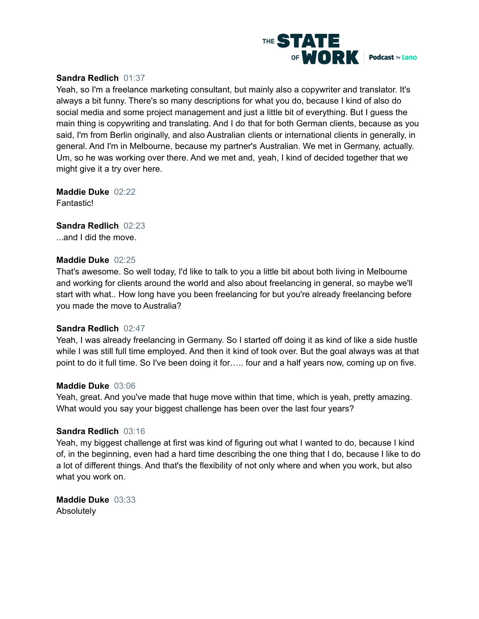

## **Sandra Redlich** 01:37

Yeah, so I'm a freelance marketing consultant, but mainly also a copywriter and translator. It's always a bit funny. There's so many descriptions for what you do, because I kind of also do social media and some project management and just a little bit of everything. But I guess the main thing is copywriting and translating. And I do that for both German clients, because as you said, I'm from Berlin originally, and also Australian clients or international clients in generally, in general. And I'm in Melbourne, because my partner's Australian. We met in Germany, actually. Um, so he was working over there. And we met and, yeah, I kind of decided together that we might give it a try over here.

**Maddie Duke** 02:22 Fantastic!

**Sandra Redlich** 02:23 ...and I did the move.

#### **Maddie Duke** 02:25

That's awesome. So well today, I'd like to talk to you a little bit about both living in Melbourne and working for clients around the world and also about freelancing in general, so maybe we'll start with what.. How long have you been freelancing for but you're already freelancing before you made the move to Australia?

#### **Sandra Redlich** 02:47

Yeah, I was already freelancing in Germany. So I started off doing it as kind of like a side hustle while I was still full time employed. And then it kind of took over. But the goal always was at that point to do it full time. So I've been doing it for….. four and a half years now, coming up on five.

#### **Maddie Duke** 03:06

Yeah, great. And you've made that huge move within that time, which is yeah, pretty amazing. What would you say your biggest challenge has been over the last four years?

#### **Sandra Redlich** 03:16

Yeah, my biggest challenge at first was kind of figuring out what I wanted to do, because I kind of, in the beginning, even had a hard time describing the one thing that I do, because I like to do a lot of different things. And that's the flexibility of not only where and when you work, but also what you work on.

**Maddie Duke** 03:33 Absolutely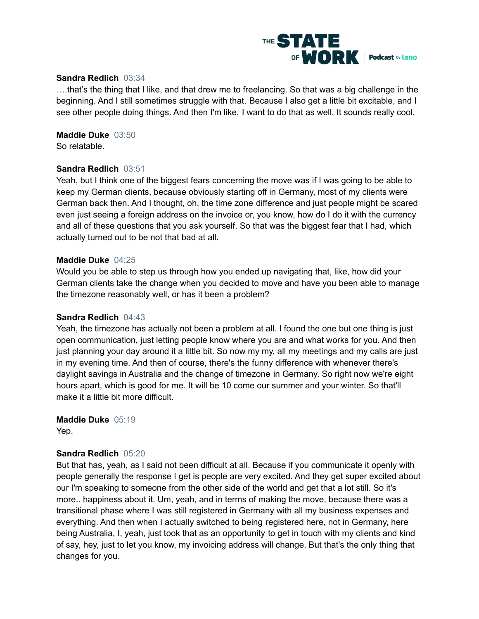

#### **Sandra Redlich** 03:34

….that's the thing that I like, and that drew me to freelancing. So that was a big challenge in the beginning. And I still sometimes struggle with that. Because I also get a little bit excitable, and I see other people doing things. And then I'm like, I want to do that as well. It sounds really cool.

**Maddie Duke** 03:50 So relatable.

#### **Sandra Redlich** 03:51

Yeah, but I think one of the biggest fears concerning the move was if I was going to be able to keep my German clients, because obviously starting off in Germany, most of my clients were German back then. And I thought, oh, the time zone difference and just people might be scared even just seeing a foreign address on the invoice or, you know, how do I do it with the currency and all of these questions that you ask yourself. So that was the biggest fear that I had, which actually turned out to be not that bad at all.

#### **Maddie Duke** 04:25

Would you be able to step us through how you ended up navigating that, like, how did your German clients take the change when you decided to move and have you been able to manage the timezone reasonably well, or has it been a problem?

#### **Sandra Redlich** 04:43

Yeah, the timezone has actually not been a problem at all. I found the one but one thing is just open communication, just letting people know where you are and what works for you. And then just planning your day around it a little bit. So now my my, all my meetings and my calls are just in my evening time. And then of course, there's the funny difference with whenever there's daylight savings in Australia and the change of timezone in Germany. So right now we're eight hours apart, which is good for me. It will be 10 come our summer and your winter. So that'll make it a little bit more difficult.

#### **Maddie Duke** 05:19 Yep.

## **Sandra Redlich** 05:20

But that has, yeah, as I said not been difficult at all. Because if you communicate it openly with people generally the response I get is people are very excited. And they get super excited about our I'm speaking to someone from the other side of the world and get that a lot still. So it's more.. happiness about it. Um, yeah, and in terms of making the move, because there was a transitional phase where I was still registered in Germany with all my business expenses and everything. And then when I actually switched to being registered here, not in Germany, here being Australia, I, yeah, just took that as an opportunity to get in touch with my clients and kind of say, hey, just to let you know, my invoicing address will change. But that's the only thing that changes for you.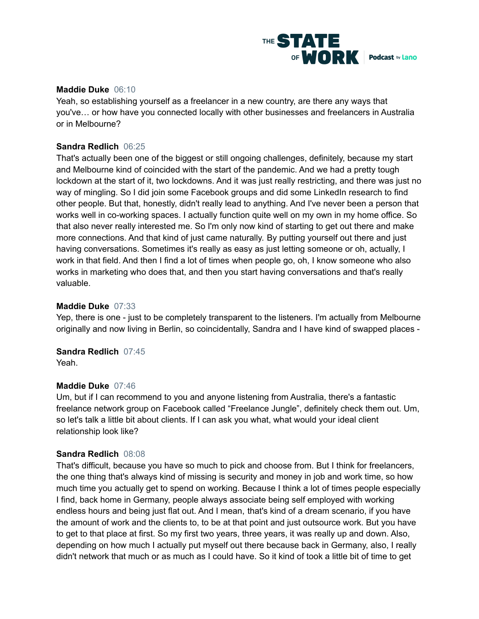

## **Maddie Duke** 06:10

Yeah, so establishing yourself as a freelancer in a new country, are there any ways that you've… or how have you connected locally with other businesses and freelancers in Australia or in Melbourne?

## **Sandra Redlich** 06:25

That's actually been one of the biggest or still ongoing challenges, definitely, because my start and Melbourne kind of coincided with the start of the pandemic. And we had a pretty tough lockdown at the start of it, two lockdowns. And it was just really restricting, and there was just no way of mingling. So I did join some Facebook groups and did some LinkedIn research to find other people. But that, honestly, didn't really lead to anything. And I've never been a person that works well in co-working spaces. I actually function quite well on my own in my home office. So that also never really interested me. So I'm only now kind of starting to get out there and make more connections. And that kind of just came naturally. By putting yourself out there and just having conversations. Sometimes it's really as easy as just letting someone or oh, actually, I work in that field. And then I find a lot of times when people go, oh, I know someone who also works in marketing who does that, and then you start having conversations and that's really valuable.

#### **Maddie Duke** 07:33

Yep, there is one - just to be completely transparent to the listeners. I'm actually from Melbourne originally and now living in Berlin, so coincidentally, Sandra and I have kind of swapped places -

**Sandra Redlich** 07:45

Yeah.

#### **Maddie Duke** 07:46

Um, but if I can recommend to you and anyone listening from Australia, there's a fantastic freelance network group on Facebook called "Freelance Jungle", definitely check them out. Um, so let's talk a little bit about clients. If I can ask you what, what would your ideal client relationship look like?

#### **Sandra Redlich** 08:08

That's difficult, because you have so much to pick and choose from. But I think for freelancers, the one thing that's always kind of missing is security and money in job and work time, so how much time you actually get to spend on working. Because I think a lot of times people especially I find, back home in Germany, people always associate being self employed with working endless hours and being just flat out. And I mean, that's kind of a dream scenario, if you have the amount of work and the clients to, to be at that point and just outsource work. But you have to get to that place at first. So my first two years, three years, it was really up and down. Also, depending on how much I actually put myself out there because back in Germany, also, I really didn't network that much or as much as I could have. So it kind of took a little bit of time to get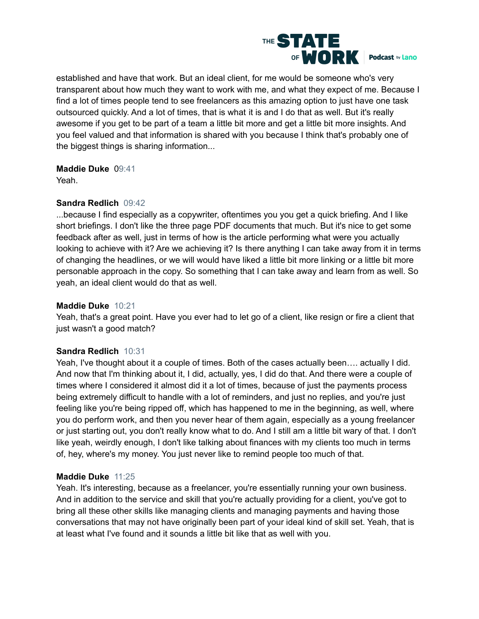

established and have that work. But an ideal client, for me would be someone who's very transparent about how much they want to work with me, and what they expect of me. Because I find a lot of times people tend to see freelancers as this amazing option to just have one task outsourced quickly. And a lot of times, that is what it is and I do that as well. But it's really awesome if you get to be part of a team a little bit more and get a little bit more insights. And you feel valued and that information is shared with you because I think that's probably one of the biggest things is sharing information...

## **Maddie Duke** 09:41

Yeah.

## **Sandra Redlich** 09:42

...because I find especially as a copywriter, oftentimes you you get a quick briefing. And I like short briefings. I don't like the three page PDF documents that much. But it's nice to get some feedback after as well, just in terms of how is the article performing what were you actually looking to achieve with it? Are we achieving it? Is there anything I can take away from it in terms of changing the headlines, or we will would have liked a little bit more linking or a little bit more personable approach in the copy. So something that I can take away and learn from as well. So yeah, an ideal client would do that as well.

## **Maddie Duke** 10:21

Yeah, that's a great point. Have you ever had to let go of a client, like resign or fire a client that just wasn't a good match?

## **Sandra Redlich** 10:31

Yeah, I've thought about it a couple of times. Both of the cases actually been…. actually I did. And now that I'm thinking about it, I did, actually, yes, I did do that. And there were a couple of times where I considered it almost did it a lot of times, because of just the payments process being extremely difficult to handle with a lot of reminders, and just no replies, and you're just feeling like you're being ripped off, which has happened to me in the beginning, as well, where you do perform work, and then you never hear of them again, especially as a young freelancer or just starting out, you don't really know what to do. And I still am a little bit wary of that. I don't like yeah, weirdly enough, I don't like talking about finances with my clients too much in terms of, hey, where's my money. You just never like to remind people too much of that.

## **Maddie Duke** 11:25

Yeah. It's interesting, because as a freelancer, you're essentially running your own business. And in addition to the service and skill that you're actually providing for a client, you've got to bring all these other skills like managing clients and managing payments and having those conversations that may not have originally been part of your ideal kind of skill set. Yeah, that is at least what I've found and it sounds a little bit like that as well with you.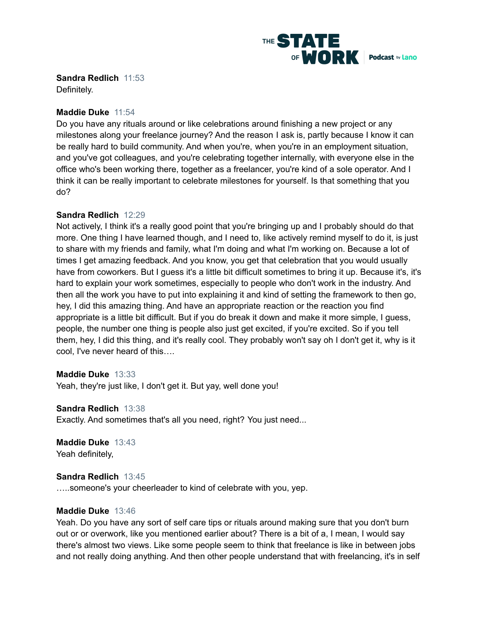

**Sandra Redlich** 11:53

Definitely.

## **Maddie Duke** 11:54

Do you have any rituals around or like celebrations around finishing a new project or any milestones along your freelance journey? And the reason I ask is, partly because I know it can be really hard to build community. And when you're, when you're in an employment situation, and you've got colleagues, and you're celebrating together internally, with everyone else in the office who's been working there, together as a freelancer, you're kind of a sole operator. And I think it can be really important to celebrate milestones for yourself. Is that something that you do?

## **Sandra Redlich** 12:29

Not actively, I think it's a really good point that you're bringing up and I probably should do that more. One thing I have learned though, and I need to, like actively remind myself to do it, is just to share with my friends and family, what I'm doing and what I'm working on. Because a lot of times I get amazing feedback. And you know, you get that celebration that you would usually have from coworkers. But I guess it's a little bit difficult sometimes to bring it up. Because it's, it's hard to explain your work sometimes, especially to people who don't work in the industry. And then all the work you have to put into explaining it and kind of setting the framework to then go, hey, I did this amazing thing. And have an appropriate reaction or the reaction you find appropriate is a little bit difficult. But if you do break it down and make it more simple, I guess, people, the number one thing is people also just get excited, if you're excited. So if you tell them, hey, I did this thing, and it's really cool. They probably won't say oh I don't get it, why is it cool, I've never heard of this….

## **Maddie Duke** 13:33

Yeah, they're just like, I don't get it. But yay, well done you!

## **Sandra Redlich** 13:38

Exactly. And sometimes that's all you need, right? You just need...

**Maddie Duke** 13:43 Yeah definitely,

## **Sandra Redlich** 13:45

…..someone's your cheerleader to kind of celebrate with you, yep.

## **Maddie Duke** 13:46

Yeah. Do you have any sort of self care tips or rituals around making sure that you don't burn out or or overwork, like you mentioned earlier about? There is a bit of a, I mean, I would say there's almost two views. Like some people seem to think that freelance is like in between jobs and not really doing anything. And then other people understand that with freelancing, it's in self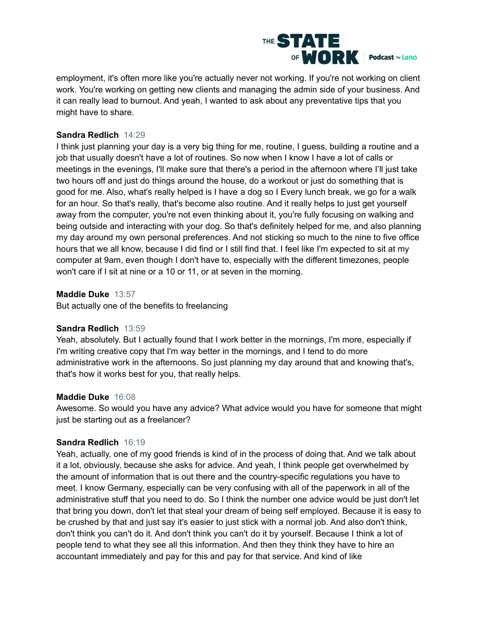

employment, it's often more like you're actually never not working. If you're not working on client work. You're working on getting new clients and managing the admin side of your business. And it can really lead to burnout. And yeah, I wanted to ask about any preventative tips that you might have to share.

## **Sandra Redlich** 14:29

I think just planning your day is a very big thing for me, routine, I guess, building a routine and a job that usually doesn't have a lot of routines. So now when I know I have a lot of calls or meetings in the evenings, I'll make sure that there's a period in the afternoon where I'll just take two hours off and just do things around the house, do a workout or just do something that is good for me. Also, what's really helped is I have a dog so I Every lunch break, we go for a walk for an hour. So that's really, that's become also routine. And it really helps to just get yourself away from the computer, you're not even thinking about it, you're fully focusing on walking and being outside and interacting with your dog. So that's definitely helped for me, and also planning my day around my own personal preferences. And not sticking so much to the nine to five office hours that we all know, because I did find or I still find that. I feel like I'm expected to sit at my computer at 9am, even though I don't have to, especially with the different timezones, people won't care if I sit at nine or a 10 or 11, or at seven in the morning.

## **Maddie Duke** 13:57

But actually one of the benefits to freelancing

## **Sandra Redlich** 13:59

Yeah, absolutely. But I actually found that I work better in the mornings, I'm more, especially if I'm writing creative copy that I'm way better in the mornings, and I tend to do more administrative work in the afternoons. So just planning my day around that and knowing that's, that's how it works best for you, that really helps.

## **Maddie Duke** 16:08

Awesome. So would you have any advice? What advice would you have for someone that might just be starting out as a freelancer?

## **Sandra Redlich** 16:19

Yeah, actually, one of my good friends is kind of in the process of doing that. And we talk about it a lot, obviously, because she asks for advice. And yeah, I think people get overwhelmed by the amount of information that is out there and the country-specific regulations you have to meet. I know Germany, especially can be very confusing with all of the paperwork in all of the administrative stuff that you need to do. So I think the number one advice would be just don't let that bring you down, don't let that steal your dream of being self employed. Because it is easy to be crushed by that and just say it's easier to just stick with a normal job. And also don't think, don't think you can't do it. And don't think you can't do it by yourself. Because I think a lot of people tend to what they see all this information. And then they think they have to hire an accountant immediately and pay for this and pay for that service. And kind of like